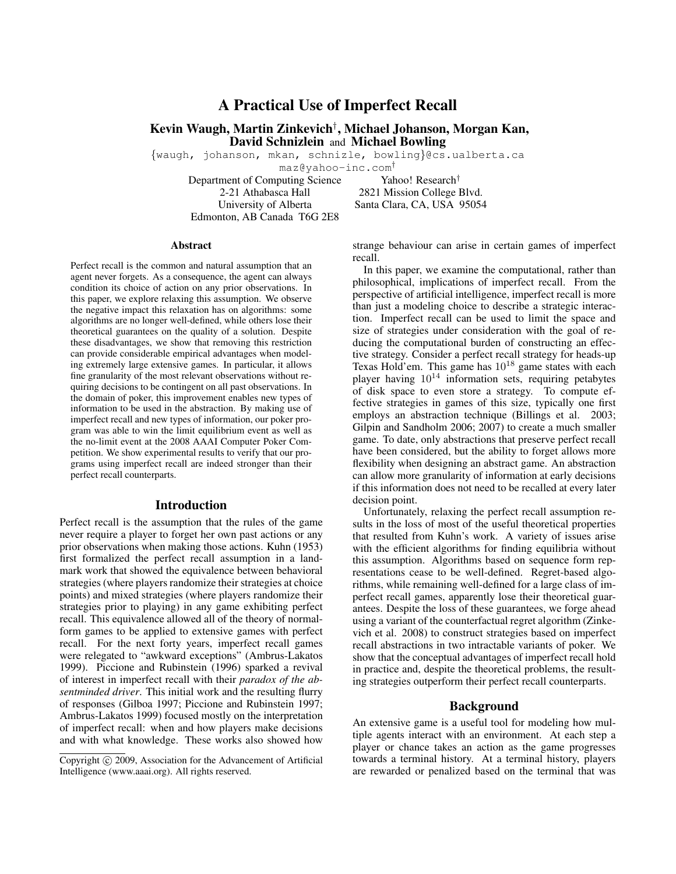# A Practical Use of Imperfect Recall

Kevin Waugh, Martin Zinkevich† , Michael Johanson, Morgan Kan, David Schnizlein and Michael Bowling

{waugh, johanson, mkan, schnizle, bowling}@cs.ualberta.ca

maz@yahoo-inc.com†

Department of Computing Science Yahoo! Research† 2-21 Athabasca Hall 2821 Mission College Blvd. Edmonton, AB Canada T6G 2E8

University of Alberta Santa Clara, CA, USA 95054

#### Abstract

Perfect recall is the common and natural assumption that an agent never forgets. As a consequence, the agent can always condition its choice of action on any prior observations. In this paper, we explore relaxing this assumption. We observe the negative impact this relaxation has on algorithms: some algorithms are no longer well-defined, while others lose their theoretical guarantees on the quality of a solution. Despite these disadvantages, we show that removing this restriction can provide considerable empirical advantages when modeling extremely large extensive games. In particular, it allows fine granularity of the most relevant observations without requiring decisions to be contingent on all past observations. In the domain of poker, this improvement enables new types of information to be used in the abstraction. By making use of imperfect recall and new types of information, our poker program was able to win the limit equilibrium event as well as the no-limit event at the 2008 AAAI Computer Poker Competition. We show experimental results to verify that our programs using imperfect recall are indeed stronger than their perfect recall counterparts.

#### Introduction

Perfect recall is the assumption that the rules of the game never require a player to forget her own past actions or any prior observations when making those actions. Kuhn (1953) first formalized the perfect recall assumption in a landmark work that showed the equivalence between behavioral strategies (where players randomize their strategies at choice points) and mixed strategies (where players randomize their strategies prior to playing) in any game exhibiting perfect recall. This equivalence allowed all of the theory of normalform games to be applied to extensive games with perfect recall. For the next forty years, imperfect recall games were relegated to "awkward exceptions" (Ambrus-Lakatos 1999). Piccione and Rubinstein (1996) sparked a revival of interest in imperfect recall with their *paradox of the absentminded driver*. This initial work and the resulting flurry of responses (Gilboa 1997; Piccione and Rubinstein 1997; Ambrus-Lakatos 1999) focused mostly on the interpretation of imperfect recall: when and how players make decisions and with what knowledge. These works also showed how

strange behaviour can arise in certain games of imperfect recall.

In this paper, we examine the computational, rather than philosophical, implications of imperfect recall. From the perspective of artificial intelligence, imperfect recall is more than just a modeling choice to describe a strategic interaction. Imperfect recall can be used to limit the space and size of strategies under consideration with the goal of reducing the computational burden of constructing an effective strategy. Consider a perfect recall strategy for heads-up Texas Hold'em. This game has  $10^{18}$  game states with each player having  $10^{14}$  information sets, requiring petabytes of disk space to even store a strategy. To compute effective strategies in games of this size, typically one first employs an abstraction technique (Billings et al. 2003; Gilpin and Sandholm 2006; 2007) to create a much smaller game. To date, only abstractions that preserve perfect recall have been considered, but the ability to forget allows more flexibility when designing an abstract game. An abstraction can allow more granularity of information at early decisions if this information does not need to be recalled at every later decision point.

Unfortunately, relaxing the perfect recall assumption results in the loss of most of the useful theoretical properties that resulted from Kuhn's work. A variety of issues arise with the efficient algorithms for finding equilibria without this assumption. Algorithms based on sequence form representations cease to be well-defined. Regret-based algorithms, while remaining well-defined for a large class of imperfect recall games, apparently lose their theoretical guarantees. Despite the loss of these guarantees, we forge ahead using a variant of the counterfactual regret algorithm (Zinkevich et al. 2008) to construct strategies based on imperfect recall abstractions in two intractable variants of poker. We show that the conceptual advantages of imperfect recall hold in practice and, despite the theoretical problems, the resulting strategies outperform their perfect recall counterparts.

# Background

An extensive game is a useful tool for modeling how multiple agents interact with an environment. At each step a player or chance takes an action as the game progresses towards a terminal history. At a terminal history, players are rewarded or penalized based on the terminal that was

Copyright (c) 2009, Association for the Advancement of Artificial Intelligence (www.aaai.org). All rights reserved.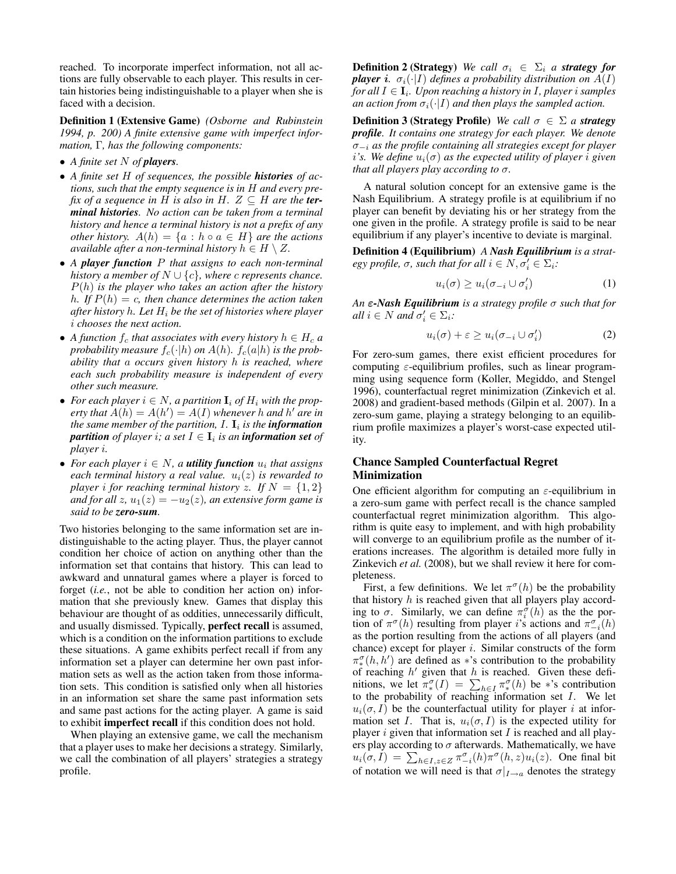reached. To incorporate imperfect information, not all actions are fully observable to each player. This results in certain histories being indistinguishable to a player when she is faced with a decision.

Definition 1 (Extensive Game) *(Osborne and Rubinstein 1994, p. 200) A finite extensive game with imperfect information,* Γ*, has the following components:*

- *A finite set* N *of players.*
- *A finite set* H *of sequences, the possible histories of actions, such that the empty sequence is in* H *and every prefix of a sequence in H is also in H*.  $Z \subseteq H$  *are the terminal histories. No action can be taken from a terminal history and hence a terminal history is not a prefix of any other history.*  $A(h) = \{a : h \circ a \in H\}$  *are the actions available after a non-terminal history*  $h \in H \setminus Z$ .
- *A player function* P *that assigns to each non-terminal history a member of*  $N \cup \{c\}$ *, where c represents chance.* P(h) *is the player who takes an action after the history* h. If  $P(h) = c$ , then chance determines the action taken *after history* h*. Let* H<sup>i</sup> *be the set of histories where player* i *chooses the next action.*
- A function  $f_c$  that associates with every history  $h \in H_c$  a *probability measure*  $f_c(\cdot|h)$  *on*  $A(h)$ *.*  $f_c(a|h)$  *is the probability that* a *occurs given history* h *is reached, where each such probability measure is independent of every other such measure.*
- For each player  $i \in N$ , a partition  $\mathbf{I}_i$  of  $H_i$  with the prop*erty that*  $A(h) = A(h') = A(I)$  *whenever* h *and* h' *are in the same member of the partition,* I*.* I<sup>i</sup> *is the information*  $\boldsymbol{partition}$  *of player i; a set*  $I \in \mathbf{I}_i$  *is an information set of player* i*.*
- For each player  $i \in N$ , a **utility function**  $u_i$  that assigns *each terminal history a real value.*  $u_i(z)$  *is rewarded to player i for reaching terminal history z. If*  $N = \{1, 2\}$ *and for all* z,  $u_1(z) = -u_2(z)$ *, an extensive form game is said to be zero-sum.*

Two histories belonging to the same information set are indistinguishable to the acting player. Thus, the player cannot condition her choice of action on anything other than the information set that contains that history. This can lead to awkward and unnatural games where a player is forced to forget (*i.e.*, not be able to condition her action on) information that she previously knew. Games that display this behaviour are thought of as oddities, unnecessarily difficult, and usually dismissed. Typically, perfect recall is assumed, which is a condition on the information partitions to exclude these situations. A game exhibits perfect recall if from any information set a player can determine her own past information sets as well as the action taken from those information sets. This condition is satisfied only when all histories in an information set share the same past information sets and same past actions for the acting player. A game is said to exhibit imperfect recall if this condition does not hold.

When playing an extensive game, we call the mechanism that a player uses to make her decisions a strategy. Similarly, we call the combination of all players' strategies a strategy profile.

**Definition 2 (Strategy)** *We call*  $\sigma_i \in \Sigma_i$  *a strategy for player i.*  $\sigma_i(\cdot|I)$  *defines a probability distribution on*  $A(I)$ *for all*  $I ∈ I<sub>i</sub>$ *. Upon reaching a history in I, player i samples an action from*  $\sigma_i(\cdot|I)$  *and then plays the sampled action.* 

**Definition 3 (Strategy Profile)** *We call*  $\sigma \in \Sigma$  *a strategy profile. It contains one strategy for each player. We denote* σ−<sup>i</sup> *as the profile containing all strategies except for player i*'s. We define  $u_i(\sigma)$  as the expected utility of player *i* given *that all players play according to* σ*.*

A natural solution concept for an extensive game is the Nash Equilibrium. A strategy profile is at equilibrium if no player can benefit by deviating his or her strategy from the one given in the profile. A strategy profile is said to be near equilibrium if any player's incentive to deviate is marginal.

Definition 4 (Equilibrium) *A Nash Equilibrium is a strategy profile,*  $\sigma$ *, such that for all*  $i \in N$ ,  $\sigma'_i \in \Sigma_i$ *:* 

$$
u_i(\sigma) \ge u_i(\sigma_{-i} \cup \sigma'_i) \tag{1}
$$

*An* ε*-Nash Equilibrium is a strategy profile* σ *such that for*  $all \ i \in N \ and \ \sigma'_i \in \Sigma_i$ :

$$
u_i(\sigma) + \varepsilon \ge u_i(\sigma_{-i} \cup \sigma'_i) \tag{2}
$$

For zero-sum games, there exist efficient procedures for computing  $\varepsilon$ -equilibrium profiles, such as linear programming using sequence form (Koller, Megiddo, and Stengel 1996), counterfactual regret minimization (Zinkevich et al. 2008) and gradient-based methods (Gilpin et al. 2007). In a zero-sum game, playing a strategy belonging to an equilibrium profile maximizes a player's worst-case expected utility.

# Chance Sampled Counterfactual Regret Minimization

One efficient algorithm for computing an  $\varepsilon$ -equilibrium in a zero-sum game with perfect recall is the chance sampled counterfactual regret minimization algorithm. This algorithm is quite easy to implement, and with high probability will converge to an equilibrium profile as the number of iterations increases. The algorithm is detailed more fully in Zinkevich *et al.* (2008), but we shall review it here for completeness.

First, a few definitions. We let  $\pi^{\sigma}(h)$  be the probability that history  $h$  is reached given that all players play according to  $\sigma$ . Similarly, we can define  $\pi_i^{\sigma}(h)$  as the the portion of  $\pi^{\sigma}(h)$  resulting from player *i*'s actions and  $\pi^{\sigma}_{-i}(h)$ as the portion resulting from the actions of all players (and chance) except for player  $i$ . Similar constructs of the form  $\pi^{\sigma}(h, h')$  are defined as \*'s contribution to the probability of reaching  $h'$  given that h is reached. Given these definitions, we let  $\pi_*^{\sigma}(I) = \sum_{h \in I} \pi_*^{\sigma}(h)$  be \*'s contribution to the probability of reaching information set  $I$ . We let  $u_i(\sigma, I)$  be the counterfactual utility for player i at information set I. That is,  $u_i(\sigma, I)$  is the expected utility for player  $i$  given that information set  $I$  is reached and all players play according to  $\sigma$  afterwards. Mathematically, we have  $u_i(\sigma, I) = \sum_{h \in I, z \in Z} \pi_{-i}^{\sigma}(h) \pi^{\sigma}(h, z) u_i(z)$ . One final bit of notation we will need is that  $\sigma|_{I\rightarrow a}$  denotes the strategy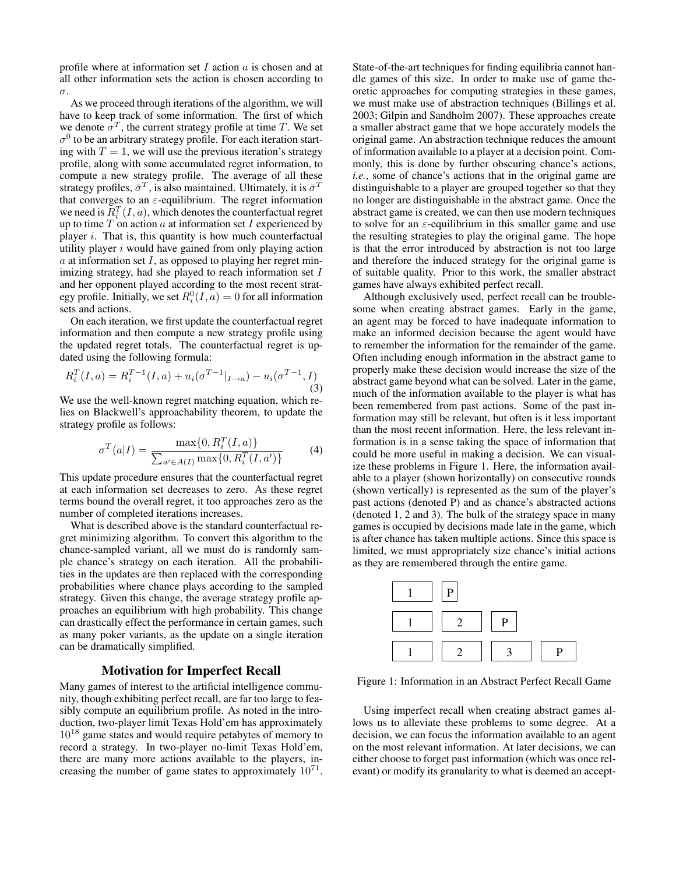profile where at information set  $I$  action  $\alpha$  is chosen and at all other information sets the action is chosen according to σ.

As we proceed through iterations of the algorithm, we will have to keep track of some information. The first of which we denote  $\sigma^T$ , the current strategy profile at time T. We set  $\sigma^0$  to be an arbitrary strategy profile. For each iteration starting with  $T = 1$ , we will use the previous iteration's strategy profile, along with some accumulated regret information, to compute a new strategy profile. The average of all these strategy profiles,  $\bar{\sigma}^T$ , is also maintained. Ultimately, it is  $\bar{\sigma}^T$ that converges to an  $\varepsilon$ -equilibrium. The regret information we need is  $\overline{R_i^T}(I,a)$ , which denotes the counterfactual regret up to time  $T$  on action  $a$  at information set  $I$  experienced by player  $i$ . That is, this quantity is how much counterfactual utility player  $i$  would have gained from only playing action  $a$  at information set  $I$ , as opposed to playing her regret minimizing strategy, had she played to reach information set  $I$ and her opponent played according to the most recent strategy profile. Initially, we set  $R_i^0(I, a) = 0$  for all information sets and actions.

On each iteration, we first update the counterfactual regret information and then compute a new strategy profile using the updated regret totals. The counterfactual regret is updated using the following formula:

$$
R_i^T(I, a) = R_i^{T-1}(I, a) + u_i(\sigma^{T-1}|_{I \to a}) - u_i(\sigma^{T-1}, I)
$$
\n(3)

We use the well-known regret matching equation, which relies on Blackwell's approachability theorem, to update the strategy profile as follows:

$$
\sigma^{T}(a|I) = \frac{\max\{0, R_i^{T}(I, a)\}}{\sum_{a' \in A(I)} \max\{0, R_i^{T}(I, a')\}}
$$
(4)

This update procedure ensures that the counterfactual regret at each information set decreases to zero. As these regret terms bound the overall regret, it too approaches zero as the number of completed iterations increases.

What is described above is the standard counterfactual regret minimizing algorithm. To convert this algorithm to the chance-sampled variant, all we must do is randomly sample chance's strategy on each iteration. All the probabilities in the updates are then replaced with the corresponding probabilities where chance plays according to the sampled strategy. Given this change, the average strategy profile approaches an equilibrium with high probability. This change can drastically effect the performance in certain games, such as many poker variants, as the update on a single iteration can be dramatically simplified.

## Motivation for Imperfect Recall

Many games of interest to the artificial intelligence community, though exhibiting perfect recall, are far too large to feasibly compute an equilibrium profile. As noted in the introduction, two-player limit Texas Hold'em has approximately 10<sup>18</sup> game states and would require petabytes of memory to record a strategy. In two-player no-limit Texas Hold'em, there are many more actions available to the players, increasing the number of game states to approximately  $10^{71}$ .

State-of-the-art techniques for finding equilibria cannot handle games of this size. In order to make use of game theoretic approaches for computing strategies in these games, we must make use of abstraction techniques (Billings et al. 2003; Gilpin and Sandholm 2007). These approaches create a smaller abstract game that we hope accurately models the original game. An abstraction technique reduces the amount of information available to a player at a decision point. Commonly, this is done by further obscuring chance's actions, *i.e.*, some of chance's actions that in the original game are distinguishable to a player are grouped together so that they no longer are distinguishable in the abstract game. Once the abstract game is created, we can then use modern techniques to solve for an  $\varepsilon$ -equilibrium in this smaller game and use the resulting strategies to play the original game. The hope is that the error introduced by abstraction is not too large and therefore the induced strategy for the original game is of suitable quality. Prior to this work, the smaller abstract games have always exhibited perfect recall.

Although exclusively used, perfect recall can be troublesome when creating abstract games. Early in the game, an agent may be forced to have inadequate information to make an informed decision because the agent would have to remember the information for the remainder of the game. Often including enough information in the abstract game to properly make these decision would increase the size of the abstract game beyond what can be solved. Later in the game, much of the information available to the player is what has been remembered from past actions. Some of the past information may still be relevant, but often is it less important than the most recent information. Here, the less relevant information is in a sense taking the space of information that could be more useful in making a decision. We can visualize these problems in Figure 1. Here, the information available to a player (shown horizontally) on consecutive rounds (shown vertically) is represented as the sum of the player's past actions (denoted P) and as chance's abstracted actions (denoted 1, 2 and 3). The bulk of the strategy space in many games is occupied by decisions made late in the game, which is after chance has taken multiple actions. Since this space is limited, we must appropriately size chance's initial actions as they are remembered through the entire game.



Figure 1: Information in an Abstract Perfect Recall Game

Using imperfect recall when creating abstract games allows us to alleviate these problems to some degree. At a decision, we can focus the information available to an agent on the most relevant information. At later decisions, we can either choose to forget past information (which was once relevant) or modify its granularity to what is deemed an accept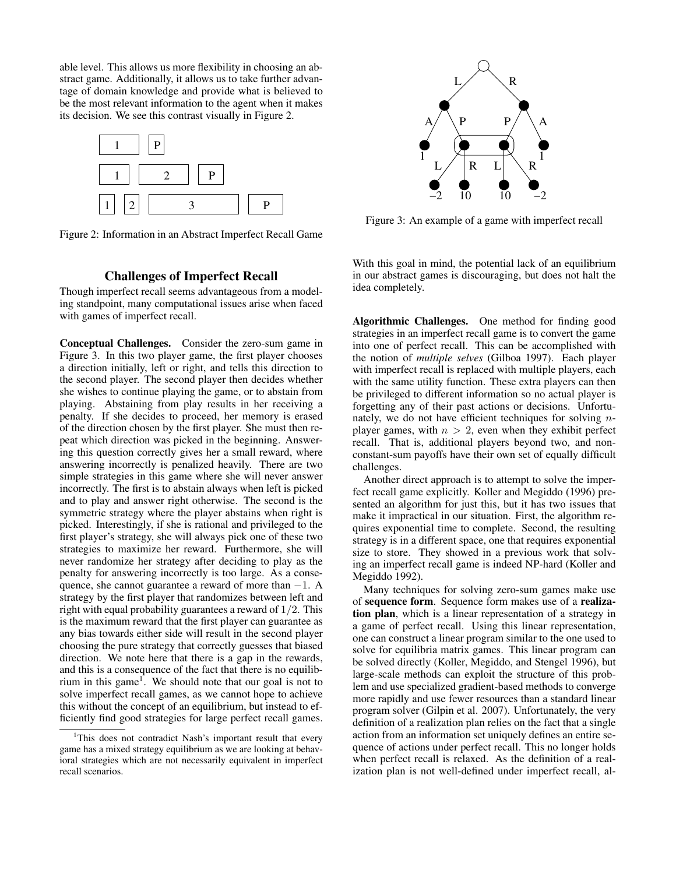able level. This allows us more flexibility in choosing an abstract game. Additionally, it allows us to take further advantage of domain knowledge and provide what is believed to be the most relevant information to the agent when it makes its decision. We see this contrast visually in Figure 2.



Figure 2: Information in an Abstract Imperfect Recall Game

# Challenges of Imperfect Recall

Though imperfect recall seems advantageous from a modeling standpoint, many computational issues arise when faced with games of imperfect recall.

Conceptual Challenges. Consider the zero-sum game in Figure 3. In this two player game, the first player chooses a direction initially, left or right, and tells this direction to the second player. The second player then decides whether she wishes to continue playing the game, or to abstain from playing. Abstaining from play results in her receiving a penalty. If she decides to proceed, her memory is erased of the direction chosen by the first player. She must then repeat which direction was picked in the beginning. Answering this question correctly gives her a small reward, where answering incorrectly is penalized heavily. There are two simple strategies in this game where she will never answer incorrectly. The first is to abstain always when left is picked and to play and answer right otherwise. The second is the symmetric strategy where the player abstains when right is picked. Interestingly, if she is rational and privileged to the first player's strategy, she will always pick one of these two strategies to maximize her reward. Furthermore, she will never randomize her strategy after deciding to play as the penalty for answering incorrectly is too large. As a consequence, she cannot guarantee a reward of more than  $-1$ . A strategy by the first player that randomizes between left and right with equal probability guarantees a reward of  $1/2$ . This is the maximum reward that the first player can guarantee as any bias towards either side will result in the second player choosing the pure strategy that correctly guesses that biased direction. We note here that there is a gap in the rewards, and this is a consequence of the fact that there is no equilibrium in this game<sup>1</sup>. We should note that our goal is not to solve imperfect recall games, as we cannot hope to achieve this without the concept of an equilibrium, but instead to efficiently find good strategies for large perfect recall games.



Figure 3: An example of a game with imperfect recall

With this goal in mind, the potential lack of an equilibrium in our abstract games is discouraging, but does not halt the idea completely.

Algorithmic Challenges. One method for finding good strategies in an imperfect recall game is to convert the game into one of perfect recall. This can be accomplished with the notion of *multiple selves* (Gilboa 1997). Each player with imperfect recall is replaced with multiple players, each with the same utility function. These extra players can then be privileged to different information so no actual player is forgetting any of their past actions or decisions. Unfortunately, we do not have efficient techniques for solving nplayer games, with  $n > 2$ , even when they exhibit perfect recall. That is, additional players beyond two, and nonconstant-sum payoffs have their own set of equally difficult challenges.

Another direct approach is to attempt to solve the imperfect recall game explicitly. Koller and Megiddo (1996) presented an algorithm for just this, but it has two issues that make it impractical in our situation. First, the algorithm requires exponential time to complete. Second, the resulting strategy is in a different space, one that requires exponential size to store. They showed in a previous work that solving an imperfect recall game is indeed NP-hard (Koller and Megiddo 1992).

Many techniques for solving zero-sum games make use of sequence form. Sequence form makes use of a realization plan, which is a linear representation of a strategy in a game of perfect recall. Using this linear representation, one can construct a linear program similar to the one used to solve for equilibria matrix games. This linear program can be solved directly (Koller, Megiddo, and Stengel 1996), but large-scale methods can exploit the structure of this problem and use specialized gradient-based methods to converge more rapidly and use fewer resources than a standard linear program solver (Gilpin et al. 2007). Unfortunately, the very definition of a realization plan relies on the fact that a single action from an information set uniquely defines an entire sequence of actions under perfect recall. This no longer holds when perfect recall is relaxed. As the definition of a realization plan is not well-defined under imperfect recall, al-

<sup>&</sup>lt;sup>1</sup>This does not contradict Nash's important result that every game has a mixed strategy equilibrium as we are looking at behavioral strategies which are not necessarily equivalent in imperfect recall scenarios.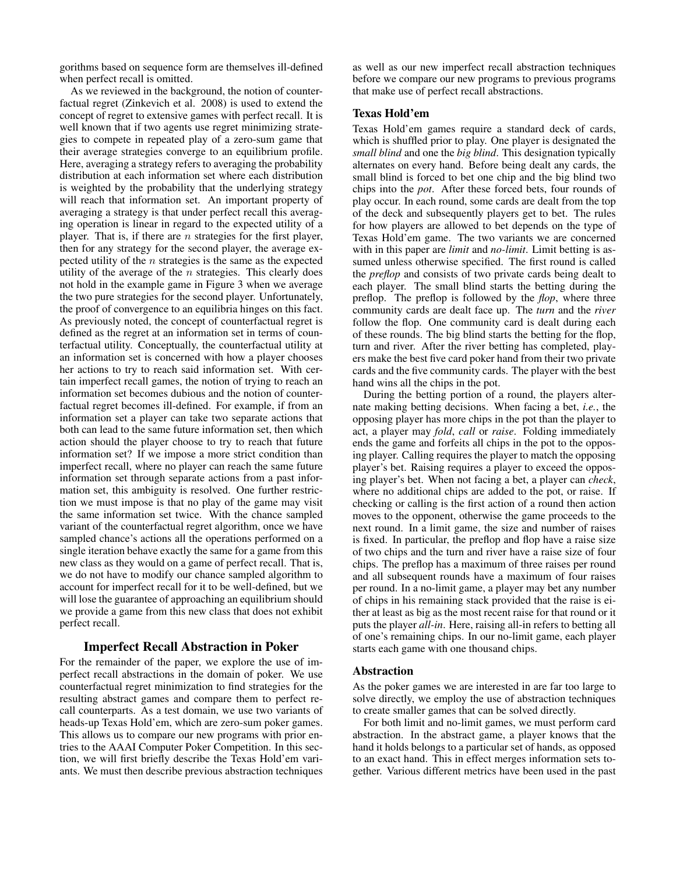gorithms based on sequence form are themselves ill-defined when perfect recall is omitted.

As we reviewed in the background, the notion of counterfactual regret (Zinkevich et al. 2008) is used to extend the concept of regret to extensive games with perfect recall. It is well known that if two agents use regret minimizing strategies to compete in repeated play of a zero-sum game that their average strategies converge to an equilibrium profile. Here, averaging a strategy refers to averaging the probability distribution at each information set where each distribution is weighted by the probability that the underlying strategy will reach that information set. An important property of averaging a strategy is that under perfect recall this averaging operation is linear in regard to the expected utility of a player. That is, if there are  $n$  strategies for the first player, then for any strategy for the second player, the average expected utility of the  $n$  strategies is the same as the expected utility of the average of the  $n$  strategies. This clearly does not hold in the example game in Figure 3 when we average the two pure strategies for the second player. Unfortunately, the proof of convergence to an equilibria hinges on this fact. As previously noted, the concept of counterfactual regret is defined as the regret at an information set in terms of counterfactual utility. Conceptually, the counterfactual utility at an information set is concerned with how a player chooses her actions to try to reach said information set. With certain imperfect recall games, the notion of trying to reach an information set becomes dubious and the notion of counterfactual regret becomes ill-defined. For example, if from an information set a player can take two separate actions that both can lead to the same future information set, then which action should the player choose to try to reach that future information set? If we impose a more strict condition than imperfect recall, where no player can reach the same future information set through separate actions from a past information set, this ambiguity is resolved. One further restriction we must impose is that no play of the game may visit the same information set twice. With the chance sampled variant of the counterfactual regret algorithm, once we have sampled chance's actions all the operations performed on a single iteration behave exactly the same for a game from this new class as they would on a game of perfect recall. That is, we do not have to modify our chance sampled algorithm to account for imperfect recall for it to be well-defined, but we will lose the guarantee of approaching an equilibrium should we provide a game from this new class that does not exhibit perfect recall.

# Imperfect Recall Abstraction in Poker

For the remainder of the paper, we explore the use of imperfect recall abstractions in the domain of poker. We use counterfactual regret minimization to find strategies for the resulting abstract games and compare them to perfect recall counterparts. As a test domain, we use two variants of heads-up Texas Hold'em, which are zero-sum poker games. This allows us to compare our new programs with prior entries to the AAAI Computer Poker Competition. In this section, we will first briefly describe the Texas Hold'em variants. We must then describe previous abstraction techniques

as well as our new imperfect recall abstraction techniques before we compare our new programs to previous programs that make use of perfect recall abstractions.

#### Texas Hold'em

Texas Hold'em games require a standard deck of cards, which is shuffled prior to play. One player is designated the *small blind* and one the *big blind*. This designation typically alternates on every hand. Before being dealt any cards, the small blind is forced to bet one chip and the big blind two chips into the *pot*. After these forced bets, four rounds of play occur. In each round, some cards are dealt from the top of the deck and subsequently players get to bet. The rules for how players are allowed to bet depends on the type of Texas Hold'em game. The two variants we are concerned with in this paper are *limit* and *no-limit*. Limit betting is assumed unless otherwise specified. The first round is called the *preflop* and consists of two private cards being dealt to each player. The small blind starts the betting during the preflop. The preflop is followed by the *flop*, where three community cards are dealt face up. The *turn* and the *river* follow the flop. One community card is dealt during each of these rounds. The big blind starts the betting for the flop, turn and river. After the river betting has completed, players make the best five card poker hand from their two private cards and the five community cards. The player with the best hand wins all the chips in the pot.

During the betting portion of a round, the players alternate making betting decisions. When facing a bet, *i.e.*, the opposing player has more chips in the pot than the player to act, a player may *fold*, *call* or *raise*. Folding immediately ends the game and forfeits all chips in the pot to the opposing player. Calling requires the player to match the opposing player's bet. Raising requires a player to exceed the opposing player's bet. When not facing a bet, a player can *check*, where no additional chips are added to the pot, or raise. If checking or calling is the first action of a round then action moves to the opponent, otherwise the game proceeds to the next round. In a limit game, the size and number of raises is fixed. In particular, the preflop and flop have a raise size of two chips and the turn and river have a raise size of four chips. The preflop has a maximum of three raises per round and all subsequent rounds have a maximum of four raises per round. In a no-limit game, a player may bet any number of chips in his remaining stack provided that the raise is either at least as big as the most recent raise for that round or it puts the player *all-in*. Here, raising all-in refers to betting all of one's remaining chips. In our no-limit game, each player starts each game with one thousand chips.

#### Abstraction

As the poker games we are interested in are far too large to solve directly, we employ the use of abstraction techniques to create smaller games that can be solved directly.

For both limit and no-limit games, we must perform card abstraction. In the abstract game, a player knows that the hand it holds belongs to a particular set of hands, as opposed to an exact hand. This in effect merges information sets together. Various different metrics have been used in the past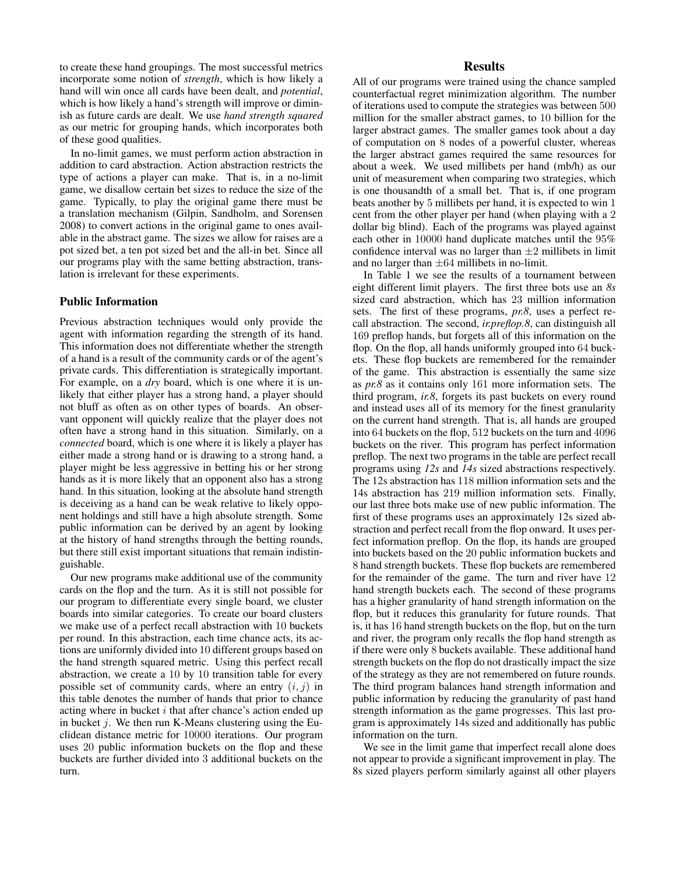to create these hand groupings. The most successful metrics incorporate some notion of *strength*, which is how likely a hand will win once all cards have been dealt, and *potential*, which is how likely a hand's strength will improve or diminish as future cards are dealt. We use *hand strength squared* as our metric for grouping hands, which incorporates both of these good qualities.

In no-limit games, we must perform action abstraction in addition to card abstraction. Action abstraction restricts the type of actions a player can make. That is, in a no-limit game, we disallow certain bet sizes to reduce the size of the game. Typically, to play the original game there must be a translation mechanism (Gilpin, Sandholm, and Sorensen 2008) to convert actions in the original game to ones available in the abstract game. The sizes we allow for raises are a pot sized bet, a ten pot sized bet and the all-in bet. Since all our programs play with the same betting abstraction, translation is irrelevant for these experiments.

#### Public Information

Previous abstraction techniques would only provide the agent with information regarding the strength of its hand. This information does not differentiate whether the strength of a hand is a result of the community cards or of the agent's private cards. This differentiation is strategically important. For example, on a *dry* board, which is one where it is unlikely that either player has a strong hand, a player should not bluff as often as on other types of boards. An observant opponent will quickly realize that the player does not often have a strong hand in this situation. Similarly, on a *connected* board, which is one where it is likely a player has either made a strong hand or is drawing to a strong hand, a player might be less aggressive in betting his or her strong hands as it is more likely that an opponent also has a strong hand. In this situation, looking at the absolute hand strength is deceiving as a hand can be weak relative to likely opponent holdings and still have a high absolute strength. Some public information can be derived by an agent by looking at the history of hand strengths through the betting rounds, but there still exist important situations that remain indistinguishable.

Our new programs make additional use of the community cards on the flop and the turn. As it is still not possible for our program to differentiate every single board, we cluster boards into similar categories. To create our board clusters we make use of a perfect recall abstraction with 10 buckets per round. In this abstraction, each time chance acts, its actions are uniformly divided into 10 different groups based on the hand strength squared metric. Using this perfect recall abstraction, we create a 10 by 10 transition table for every possible set of community cards, where an entry  $(i, j)$  in this table denotes the number of hands that prior to chance acting where in bucket  $i$  that after chance's action ended up in bucket  $j$ . We then run K-Means clustering using the Euclidean distance metric for 10000 iterations. Our program uses 20 public information buckets on the flop and these buckets are further divided into 3 additional buckets on the turn.

# **Results**

All of our programs were trained using the chance sampled counterfactual regret minimization algorithm. The number of iterations used to compute the strategies was between 500 million for the smaller abstract games, to 10 billion for the larger abstract games. The smaller games took about a day of computation on 8 nodes of a powerful cluster, whereas the larger abstract games required the same resources for about a week. We used millibets per hand (mb/h) as our unit of measurement when comparing two strategies, which is one thousandth of a small bet. That is, if one program beats another by 5 millibets per hand, it is expected to win 1 cent from the other player per hand (when playing with a 2 dollar big blind). Each of the programs was played against each other in 10000 hand duplicate matches until the 95% confidence interval was no larger than  $\pm 2$  millibets in limit and no larger than  $\pm 64$  millibets in no-limit.

In Table 1 we see the results of a tournament between eight different limit players. The first three bots use an *8s* sized card abstraction, which has 23 million information sets. The first of these programs, *pr.8*, uses a perfect recall abstraction. The second, *ir.preflop.8*, can distinguish all 169 preflop hands, but forgets all of this information on the flop. On the flop, all hands uniformly grouped into 64 buckets. These flop buckets are remembered for the remainder of the game. This abstraction is essentially the same size as *pr.8* as it contains only 161 more information sets. The third program, *ir.8*, forgets its past buckets on every round and instead uses all of its memory for the finest granularity on the current hand strength. That is, all hands are grouped into 64 buckets on the flop, 512 buckets on the turn and 4096 buckets on the river. This program has perfect information preflop. The next two programs in the table are perfect recall programs using *12s* and *14s* sized abstractions respectively. The 12s abstraction has 118 million information sets and the 14s abstraction has 219 million information sets. Finally, our last three bots make use of new public information. The first of these programs uses an approximately 12s sized abstraction and perfect recall from the flop onward. It uses perfect information preflop. On the flop, its hands are grouped into buckets based on the 20 public information buckets and 8 hand strength buckets. These flop buckets are remembered for the remainder of the game. The turn and river have 12 hand strength buckets each. The second of these programs has a higher granularity of hand strength information on the flop, but it reduces this granularity for future rounds. That is, it has 16 hand strength buckets on the flop, but on the turn and river, the program only recalls the flop hand strength as if there were only 8 buckets available. These additional hand strength buckets on the flop do not drastically impact the size of the strategy as they are not remembered on future rounds. The third program balances hand strength information and public information by reducing the granularity of past hand strength information as the game progresses. This last program is approximately 14s sized and additionally has public information on the turn.

We see in the limit game that imperfect recall alone does not appear to provide a significant improvement in play. The 8s sized players perform similarly against all other players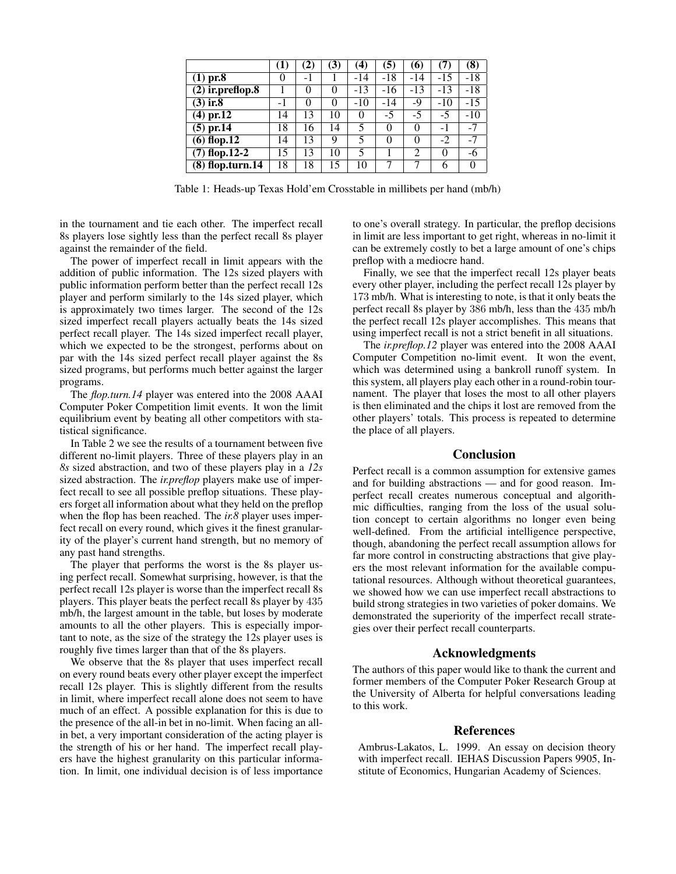|                               | (1)  |          | 3) | 4)       | (5)   | (6)      | 7)    | (8)      |
|-------------------------------|------|----------|----|----------|-------|----------|-------|----------|
| $(1)$ pr.8                    | 0    | - 1      |    | -14      | $-18$ | -14      | $-15$ | $-18$    |
| $\overline{(2)}$ ir.preflop.8 |      | $\theta$ | 0  | $-13$    | -16   | $-13$    | $-13$ | $-18$    |
| $(3)$ ir. $8$                 | $-1$ | 0        | 0  | $-10$    | $-14$ | -9       | -10   | $-15$    |
| $(4)$ pr.12                   | 14   | 13       | 10 | $\theta$ | $-5$  | $-5$     | $-5$  | $-10$    |
| $(5)$ pr.14                   | 18   | 16       | 14 | 5        | 0     | $\theta$ | - 1   | $-7$     |
| $(6)$ flop.12                 | 14   | 13       | 9  | 5        | 0     | $\theta$ | -2    | $-7$     |
| $(7)$ flop.12-2               | 15   | 13       | 10 | 5        |       | C        | 0     | -6       |
| (8) flop.turn.14              | 18   | 18       | 15 | 10       |       |          | 6     | $\theta$ |

Table 1: Heads-up Texas Hold'em Crosstable in millibets per hand (mb/h)

in the tournament and tie each other. The imperfect recall 8s players lose sightly less than the perfect recall 8s player against the remainder of the field.

The power of imperfect recall in limit appears with the addition of public information. The 12s sized players with public information perform better than the perfect recall 12s player and perform similarly to the 14s sized player, which is approximately two times larger. The second of the 12s sized imperfect recall players actually beats the 14s sized perfect recall player. The 14s sized imperfect recall player, which we expected to be the strongest, performs about on par with the 14s sized perfect recall player against the 8s sized programs, but performs much better against the larger programs.

The *flop.turn.14* player was entered into the 2008 AAAI Computer Poker Competition limit events. It won the limit equilibrium event by beating all other competitors with statistical significance.

In Table 2 we see the results of a tournament between five different no-limit players. Three of these players play in an *8s* sized abstraction, and two of these players play in a *12s* sized abstraction. The *ir.preflop* players make use of imperfect recall to see all possible preflop situations. These players forget all information about what they held on the preflop when the flop has been reached. The *ir.8* player uses imperfect recall on every round, which gives it the finest granularity of the player's current hand strength, but no memory of any past hand strengths.

The player that performs the worst is the 8s player using perfect recall. Somewhat surprising, however, is that the perfect recall 12s player is worse than the imperfect recall 8s players. This player beats the perfect recall 8s player by 435 mb/h, the largest amount in the table, but loses by moderate amounts to all the other players. This is especially important to note, as the size of the strategy the 12s player uses is roughly five times larger than that of the 8s players.

We observe that the 8s player that uses imperfect recall on every round beats every other player except the imperfect recall 12s player. This is slightly different from the results in limit, where imperfect recall alone does not seem to have much of an effect. A possible explanation for this is due to the presence of the all-in bet in no-limit. When facing an allin bet, a very important consideration of the acting player is the strength of his or her hand. The imperfect recall players have the highest granularity on this particular information. In limit, one individual decision is of less importance

to one's overall strategy. In particular, the preflop decisions in limit are less important to get right, whereas in no-limit it can be extremely costly to bet a large amount of one's chips preflop with a mediocre hand.

Finally, we see that the imperfect recall 12s player beats every other player, including the perfect recall 12s player by 173 mb/h. What is interesting to note, is that it only beats the perfect recall 8s player by 386 mb/h, less than the 435 mb/h the perfect recall 12s player accomplishes. This means that using imperfect recall is not a strict benefit in all situations.

The *ir.preflop.12* player was entered into the 2008 AAAI Computer Competition no-limit event. It won the event, which was determined using a bankroll runoff system. In this system, all players play each other in a round-robin tournament. The player that loses the most to all other players is then eliminated and the chips it lost are removed from the other players' totals. This process is repeated to determine the place of all players.

#### Conclusion

Perfect recall is a common assumption for extensive games and for building abstractions — and for good reason. Imperfect recall creates numerous conceptual and algorithmic difficulties, ranging from the loss of the usual solution concept to certain algorithms no longer even being well-defined. From the artificial intelligence perspective, though, abandoning the perfect recall assumption allows for far more control in constructing abstractions that give players the most relevant information for the available computational resources. Although without theoretical guarantees, we showed how we can use imperfect recall abstractions to build strong strategies in two varieties of poker domains. We demonstrated the superiority of the imperfect recall strategies over their perfect recall counterparts.

### Acknowledgments

The authors of this paper would like to thank the current and former members of the Computer Poker Research Group at the University of Alberta for helpful conversations leading to this work.

#### References

Ambrus-Lakatos, L. 1999. An essay on decision theory with imperfect recall. IEHAS Discussion Papers 9905, Institute of Economics, Hungarian Academy of Sciences.